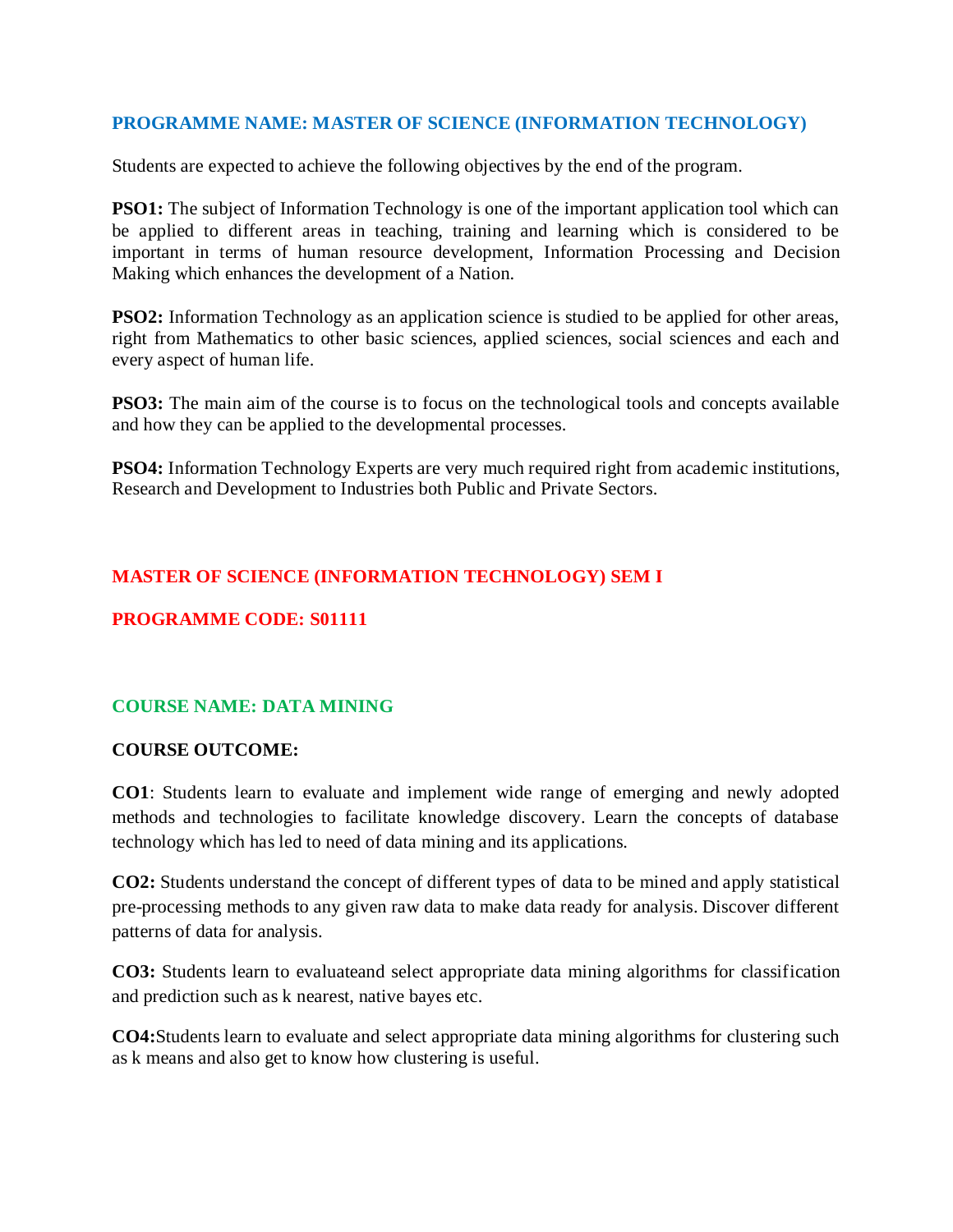## **PROGRAMME NAME: MASTER OF SCIENCE (INFORMATION TECHNOLOGY)**

Students are expected to achieve the following objectives by the end of the program.

**PSO1:** The subject of Information Technology is one of the important application tool which can be applied to different areas in teaching, training and learning which is considered to be important in terms of human resource development, Information Processing and Decision Making which enhances the development of a Nation.

**PSO2:** Information Technology as an application science is studied to be applied for other areas, right from Mathematics to other basic sciences, applied sciences, social sciences and each and every aspect of human life.

**PSO3:** The main aim of the course is to focus on the technological tools and concepts available and how they can be applied to the developmental processes.

**PSO4:** Information Technology Experts are very much required right from academic institutions, Research and Development to Industries both Public and Private Sectors.

# **MASTER OF SCIENCE (INFORMATION TECHNOLOGY) SEM I**

# **PROGRAMME CODE: S01111**

# **COURSE NAME: DATA MINING**

## **COURSE OUTCOME:**

**CO1**: Students learn to evaluate and implement wide range of emerging and newly adopted methods and technologies to facilitate knowledge discovery. Learn the concepts of database technology which has led to need of data mining and its applications.

**CO2:** Students understand the concept of different types of data to be mined and apply statistical pre-processing methods to any given raw data to make data ready for analysis. Discover different patterns of data for analysis.

**CO3:** Students learn to evaluateand select appropriate data mining algorithms for classification and prediction such as k nearest, native bayes etc.

**CO4:**Students learn to evaluate and select appropriate data mining algorithms for clustering such as k means and also get to know how clustering is useful.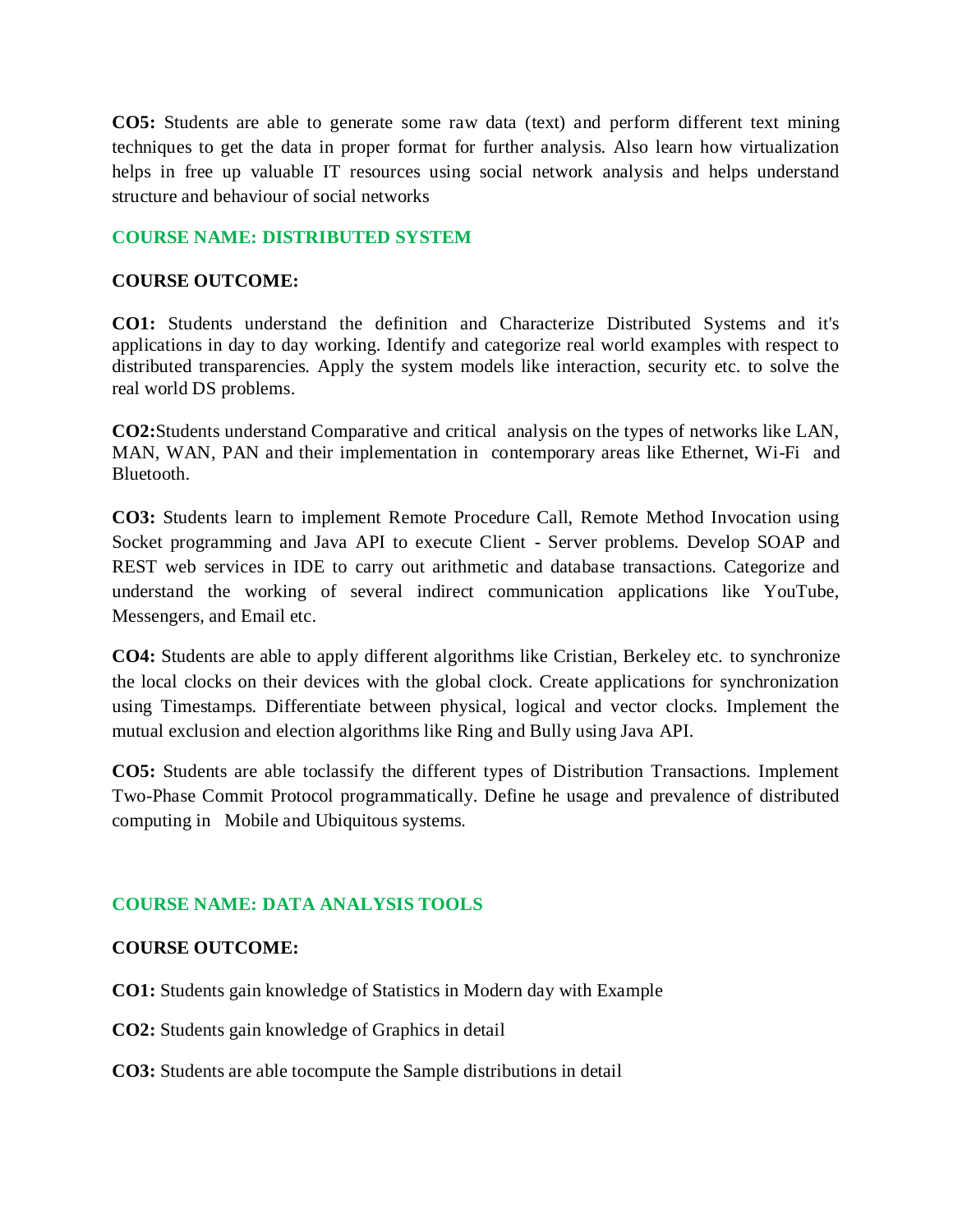**CO5:** Students are able to generate some raw data (text) and perform different text mining techniques to get the data in proper format for further analysis. Also learn how virtualization helps in free up valuable IT resources using social network analysis and helps understand structure and behaviour of social networks

## **COURSE NAME: DISTRIBUTED SYSTEM**

## **COURSE OUTCOME:**

**CO1:** Students understand the definition and Characterize Distributed Systems and it's applications in day to day working. Identify and categorize real world examples with respect to distributed transparencies. Apply the system models like interaction, security etc. to solve the real world DS problems.

**CO2:**Students understand Comparative and critical analysis on the types of networks like LAN, MAN, WAN, PAN and their implementation in contemporary areas like Ethernet, Wi-Fi and Bluetooth.

**CO3:** Students learn to implement Remote Procedure Call, Remote Method Invocation using Socket programming and Java API to execute Client - Server problems. Develop SOAP and REST web services in IDE to carry out arithmetic and database transactions. Categorize and understand the working of several indirect communication applications like YouTube, Messengers, and Email etc.

**CO4:** Students are able to apply different algorithms like Cristian, Berkeley etc. to synchronize the local clocks on their devices with the global clock. Create applications for synchronization using Timestamps. Differentiate between physical, logical and vector clocks. Implement the mutual exclusion and election algorithms like Ring and Bully using Java API.

**CO5:** Students are able toclassify the different types of Distribution Transactions. Implement Two-Phase Commit Protocol programmatically. Define he usage and prevalence of distributed computing in Mobile and Ubiquitous systems.

# **COURSE NAME: DATA ANALYSIS TOOLS**

# **COURSE OUTCOME:**

**CO1:** Students gain knowledge of Statistics in Modern day with Example

**CO2:** Students gain knowledge of Graphics in detail

**CO3:** Students are able tocompute the Sample distributions in detail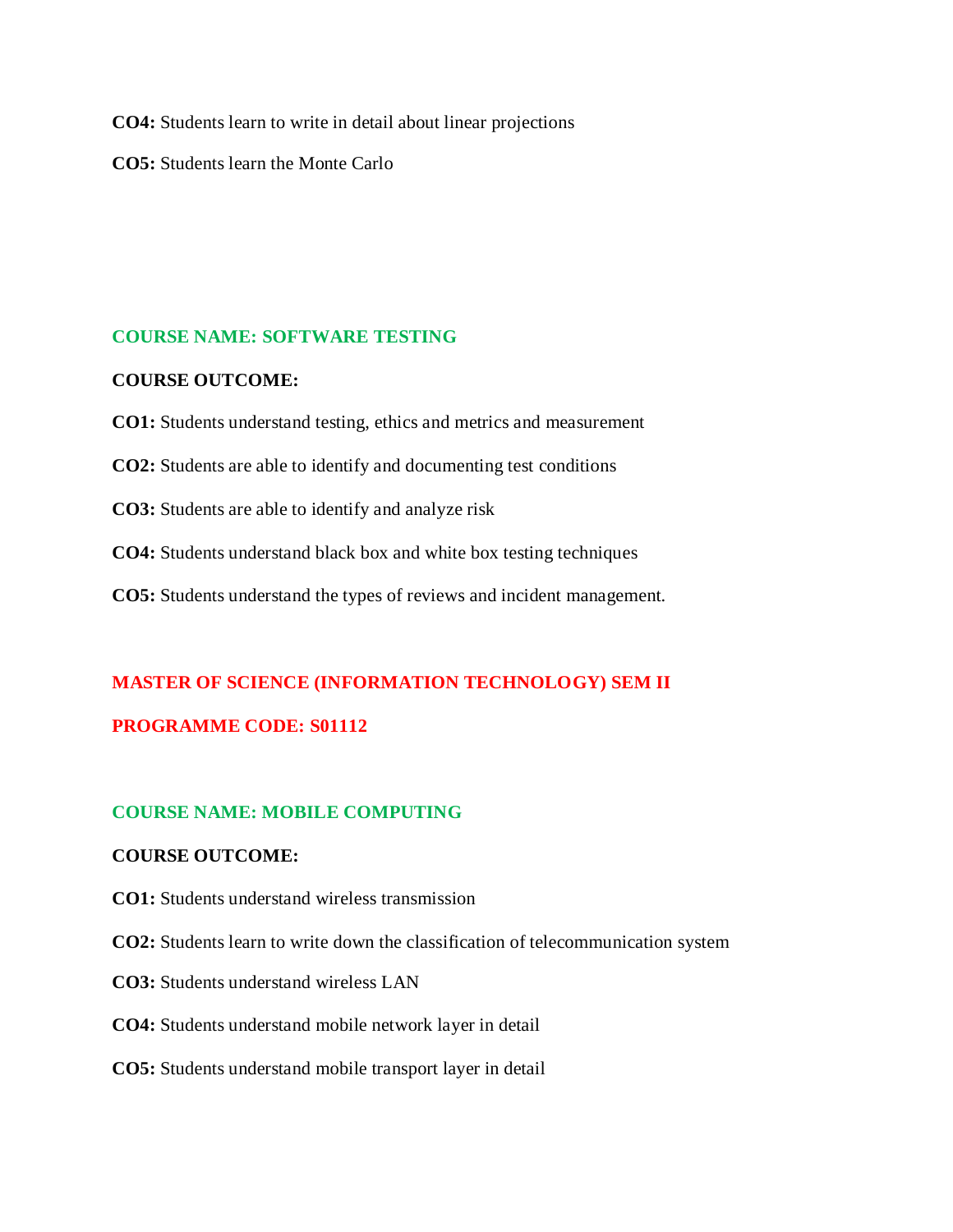**CO4:** Students learn to write in detail about linear projections

**CO5:** Students learn the Monte Carlo

## **COURSE NAME: SOFTWARE TESTING**

## **COURSE OUTCOME:**

- **CO1:** Students understand testing, ethics and metrics and measurement
- **CO2:** Students are able to identify and documenting test conditions
- **CO3:** Students are able to identify and analyze risk
- **CO4:** Students understand black box and white box testing techniques
- **CO5:** Students understand the types of reviews and incident management.

# **MASTER OF SCIENCE (INFORMATION TECHNOLOGY) SEM II PROGRAMME CODE: S01112**

# **COURSE NAME: MOBILE COMPUTING**

# **COURSE OUTCOME:**

- **CO1:** Students understand wireless transmission
- **CO2:** Students learn to write down the classification of telecommunication system
- **CO3:** Students understand wireless LAN
- **CO4:** Students understand mobile network layer in detail
- **CO5:** Students understand mobile transport layer in detail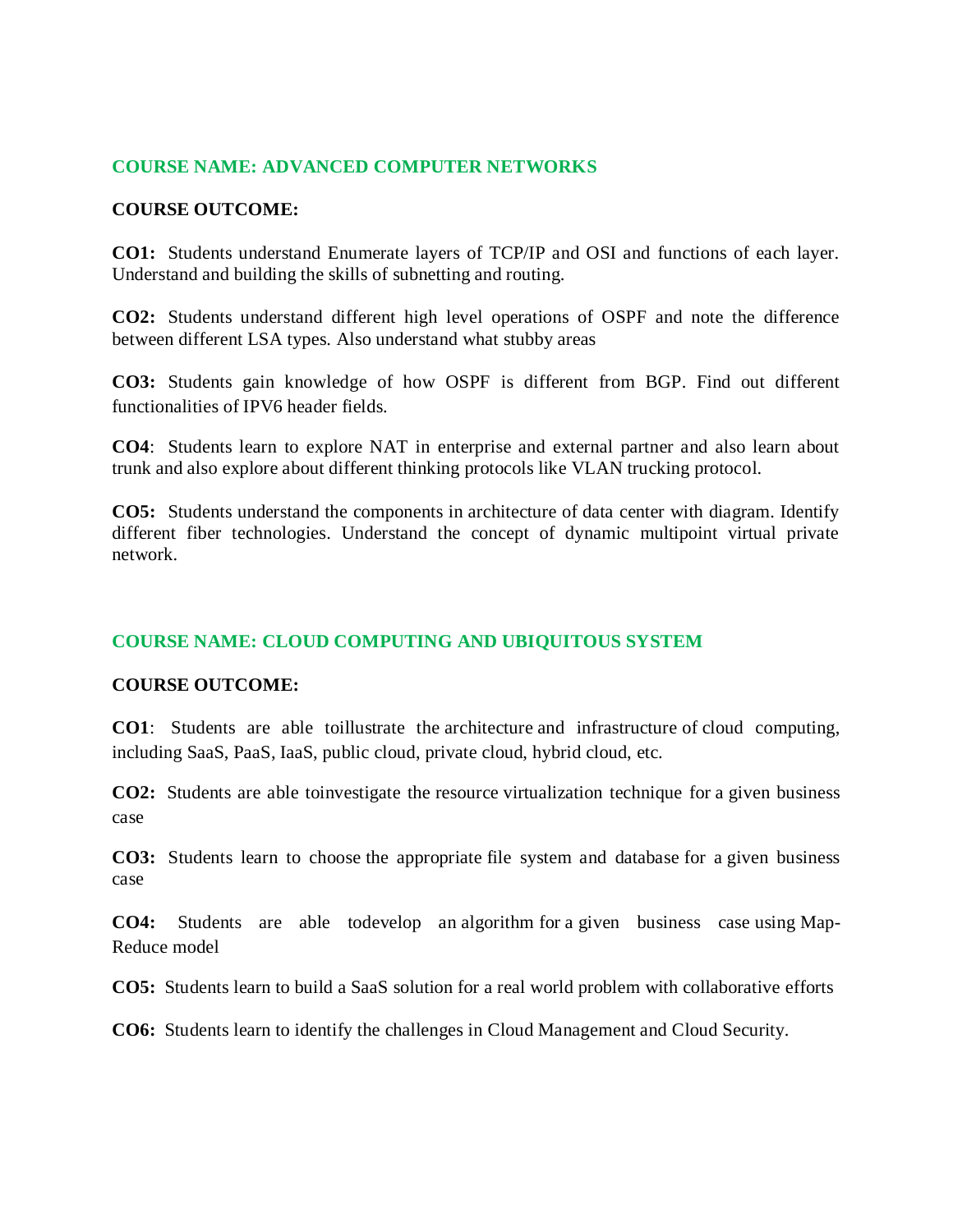## **COURSE NAME: ADVANCED COMPUTER NETWORKS**

#### **COURSE OUTCOME:**

**CO1:** Students understand Enumerate layers of TCP/IP and OSI and functions of each layer. Understand and building the skills of subnetting and routing.

**CO2:** Students understand different high level operations of OSPF and note the difference between different LSA types. Also understand what stubby areas

**CO3:** Students gain knowledge of how OSPF is different from BGP. Find out different functionalities of IPV6 header fields.

**CO4**: Students learn to explore NAT in enterprise and external partner and also learn about trunk and also explore about different thinking protocols like VLAN trucking protocol.

**CO5:** Students understand the components in architecture of data center with diagram. Identify different fiber technologies. Understand the concept of dynamic multipoint virtual private network.

## **COURSE NAME: CLOUD COMPUTING AND UBIQUITOUS SYSTEM**

#### **COURSE OUTCOME:**

**CO1**: Students are able toillustrate the architecture and infrastructure of cloud computing, including SaaS, PaaS, IaaS, public cloud, private cloud, hybrid cloud, etc.

**CO2:** Students are able toinvestigate the resource virtualization technique for a given business case

**CO3:** Students learn to choose the appropriate file system and database for a given business case

**CO4:** Students are able todevelop an algorithm for a given business case using Map-Reduce model

**CO5:** Students learn to build a SaaS solution for a real world problem with collaborative efforts

**CO6:** Students learn to identify the challenges in Cloud Management and Cloud Security.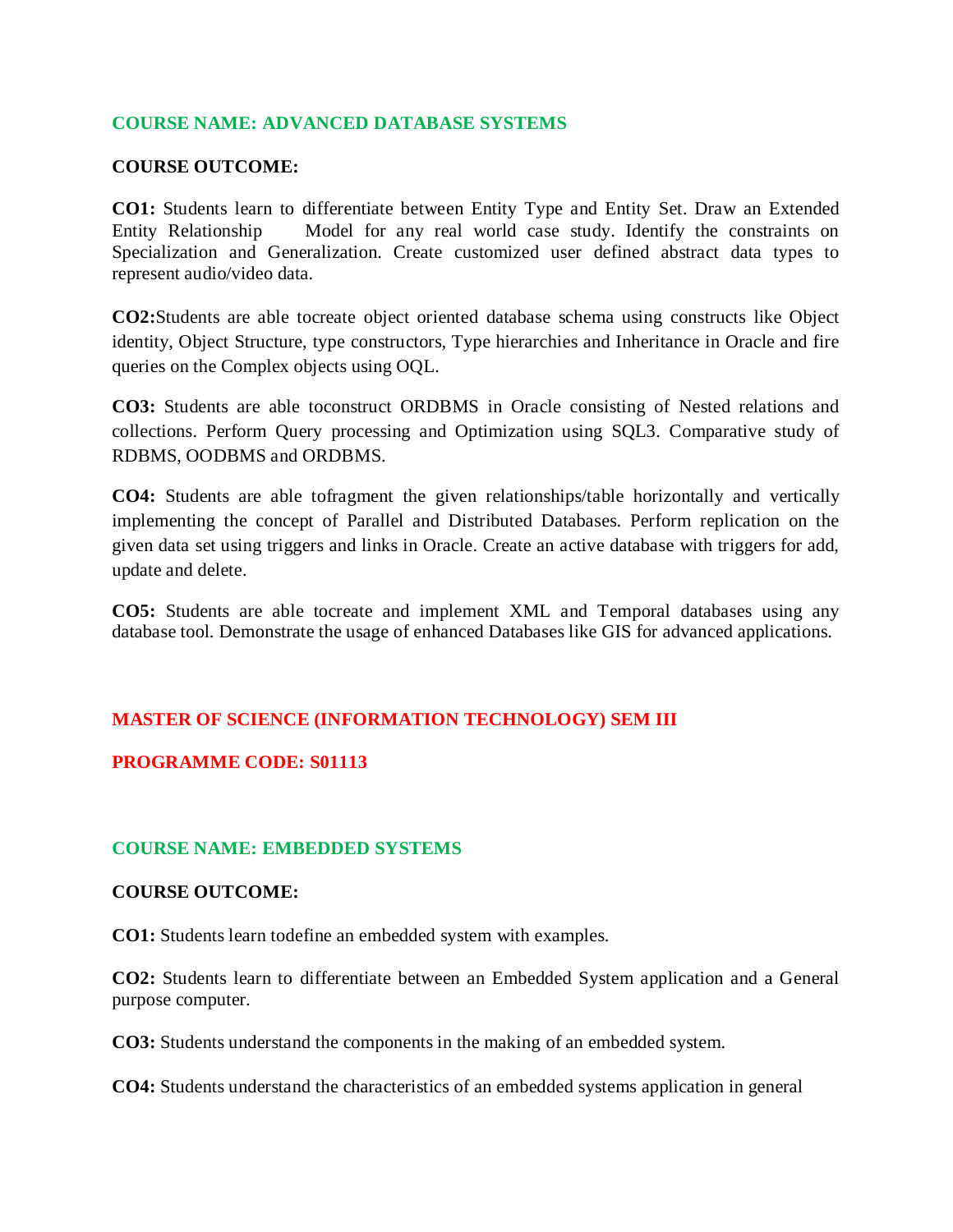## **COURSE NAME: ADVANCED DATABASE SYSTEMS**

## **COURSE OUTCOME:**

**CO1:** Students learn to differentiate between Entity Type and Entity Set. Draw an Extended Entity Relationship Model for any real world case study. Identify the constraints on Specialization and Generalization. Create customized user defined abstract data types to represent audio/video data.

**CO2:**Students are able tocreate object oriented database schema using constructs like Object identity, Object Structure, type constructors, Type hierarchies and Inheritance in Oracle and fire queries on the Complex objects using OQL.

**CO3:** Students are able toconstruct ORDBMS in Oracle consisting of Nested relations and collections. Perform Query processing and Optimization using SQL3. Comparative study of RDBMS, OODBMS and ORDBMS.

**CO4:** Students are able tofragment the given relationships/table horizontally and vertically implementing the concept of Parallel and Distributed Databases. Perform replication on the given data set using triggers and links in Oracle. Create an active database with triggers for add, update and delete.

**CO5:** Students are able tocreate and implement XML and Temporal databases using any database tool. Demonstrate the usage of enhanced Databases like GIS for advanced applications.

# **MASTER OF SCIENCE (INFORMATION TECHNOLOGY) SEM III**

## **PROGRAMME CODE: S01113**

## **COURSE NAME: EMBEDDED SYSTEMS**

#### **COURSE OUTCOME:**

**CO1:** Students learn todefine an embedded system with examples.

**CO2:** Students learn to differentiate between an Embedded System application and a General purpose computer.

**CO3:** Students understand the components in the making of an embedded system.

**CO4:** Students understand the characteristics of an embedded systems application in general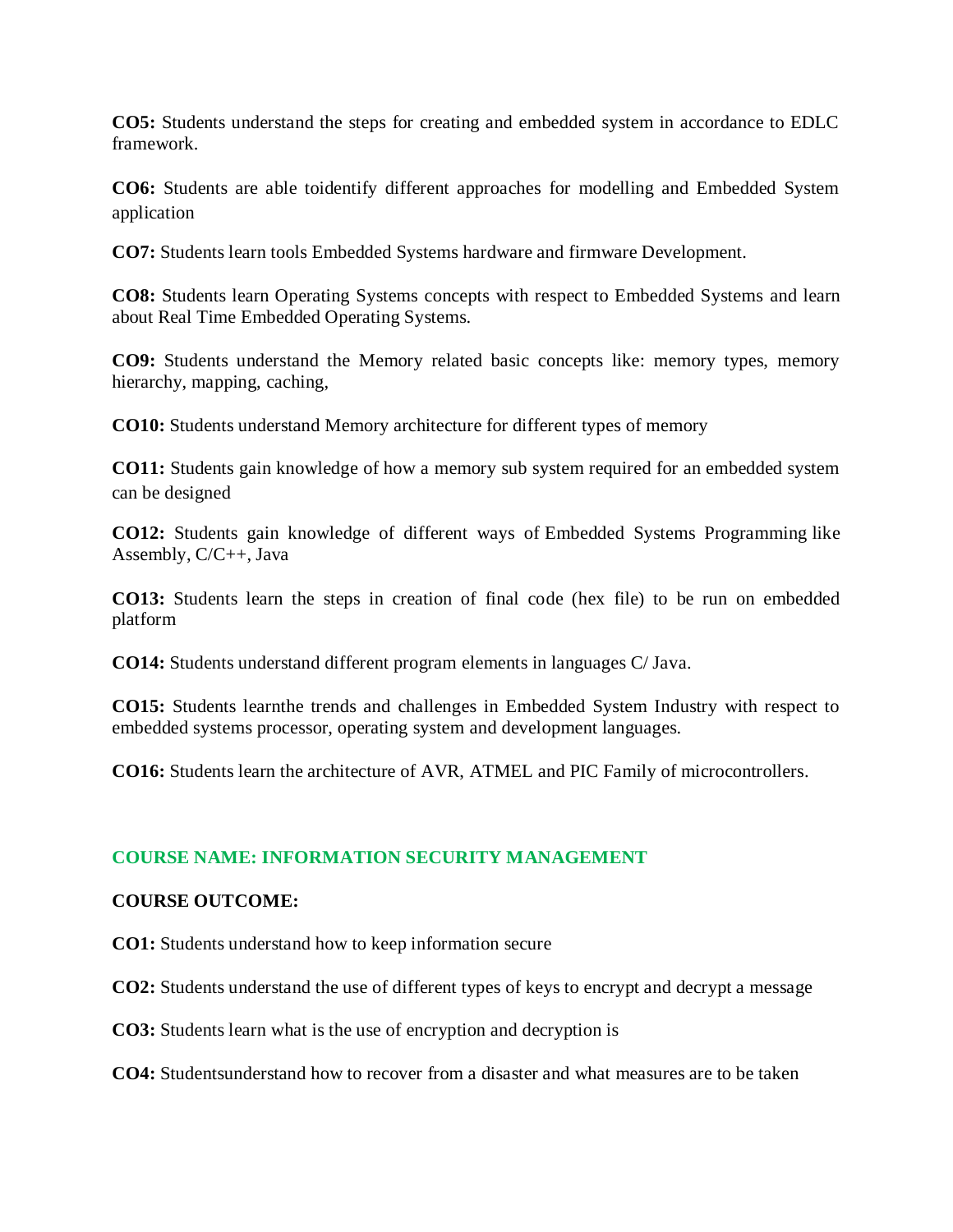**CO5:** Students understand the steps for creating and embedded system in accordance to EDLC framework.

**CO6:** Students are able toidentify different approaches for modelling and Embedded System application

**CO7:** Students learn tools Embedded Systems hardware and firmware Development.

**CO8:** Students learn Operating Systems concepts with respect to Embedded Systems and learn about Real Time Embedded Operating Systems.

**CO9:** Students understand the Memory related basic concepts like: memory types, memory hierarchy, mapping, caching,

**CO10:** Students understand Memory architecture for different types of memory

**CO11:** Students gain knowledge of how a memory sub system required for an embedded system can be designed

**CO12:** Students gain knowledge of different ways of Embedded Systems Programming like Assembly, C/C++, Java

**CO13:** Students learn the steps in creation of final code (hex file) to be run on embedded platform

**CO14:** Students understand different program elements in languages C/ Java.

**CO15:** Students learnthe trends and challenges in Embedded System Industry with respect to embedded systems processor, operating system and development languages.

**CO16:** Students learn the architecture of AVR, ATMEL and PIC Family of microcontrollers.

# **COURSE NAME: INFORMATION SECURITY MANAGEMENT**

## **COURSE OUTCOME:**

**CO1:** Students understand how to keep information secure

**CO2:** Students understand the use of different types of keys to encrypt and decrypt a message

**CO3:** Students learn what is the use of encryption and decryption is

**CO4:** Studentsunderstand how to recover from a disaster and what measures are to be taken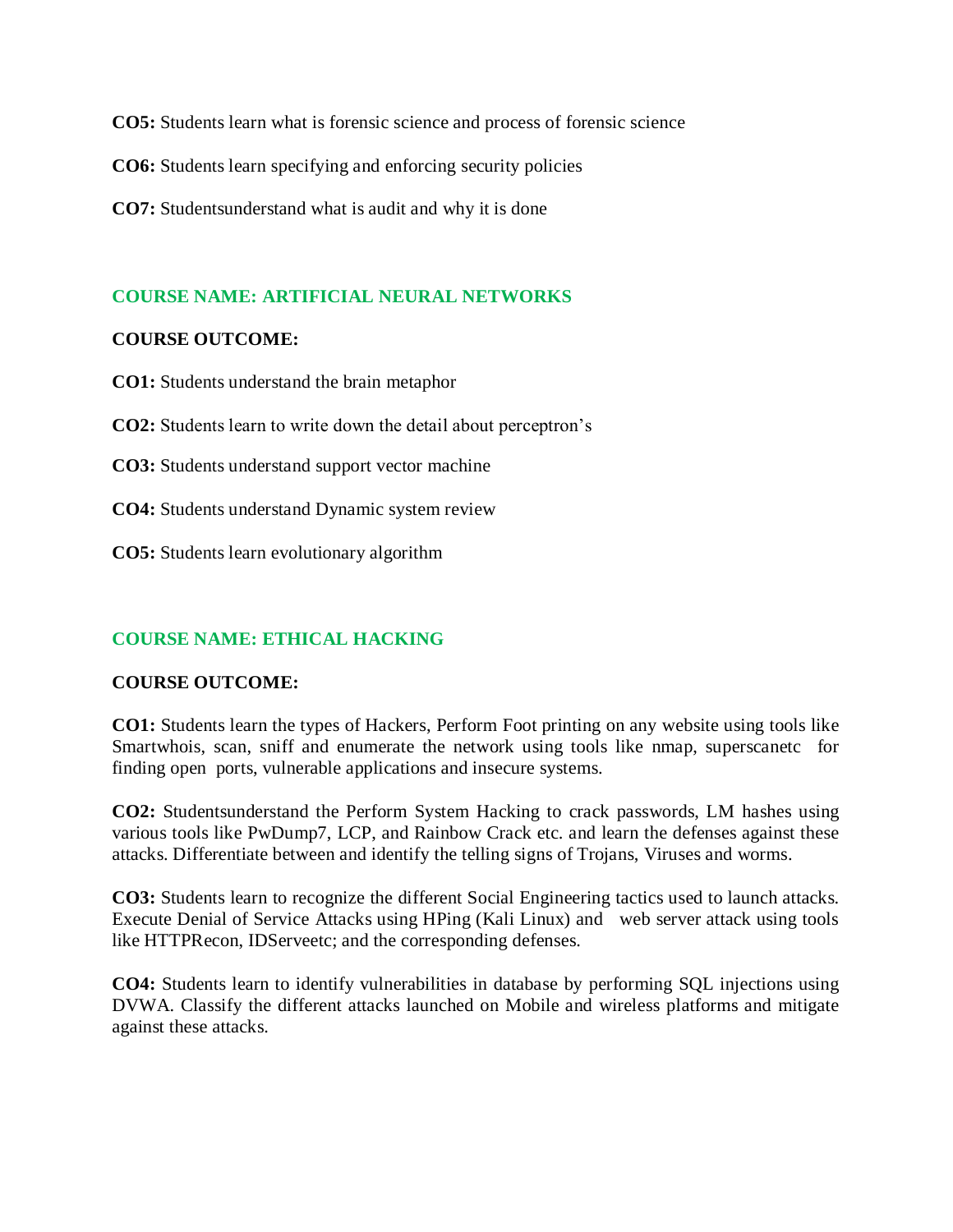**CO5:** Students learn what is forensic science and process of forensic science

**CO6:** Students learn specifying and enforcing security policies

**CO7:** Studentsunderstand what is audit and why it is done

## **COURSE NAME: ARTIFICIAL NEURAL NETWORKS**

#### **COURSE OUTCOME:**

**CO1:** Students understand the brain metaphor

**CO2:** Students learn to write down the detail about perceptron's

**CO3:** Students understand support vector machine

**CO4:** Students understand Dynamic system review

**CO5:** Students learn evolutionary algorithm

## **COURSE NAME: ETHICAL HACKING**

#### **COURSE OUTCOME:**

**CO1:** Students learn the types of Hackers, Perform Foot printing on any website using tools like Smartwhois, scan, sniff and enumerate the network using tools like nmap, superscanetc for finding open ports, vulnerable applications and insecure systems.

**CO2:** Studentsunderstand the Perform System Hacking to crack passwords, LM hashes using various tools like PwDump7, LCP, and Rainbow Crack etc. and learn the defenses against these attacks. Differentiate between and identify the telling signs of Trojans, Viruses and worms.

**CO3:** Students learn to recognize the different Social Engineering tactics used to launch attacks. Execute Denial of Service Attacks using HPing (Kali Linux) and web server attack using tools like HTTPRecon, IDServeetc; and the corresponding defenses.

**CO4:** Students learn to identify vulnerabilities in database by performing SQL injections using DVWA. Classify the different attacks launched on Mobile and wireless platforms and mitigate against these attacks.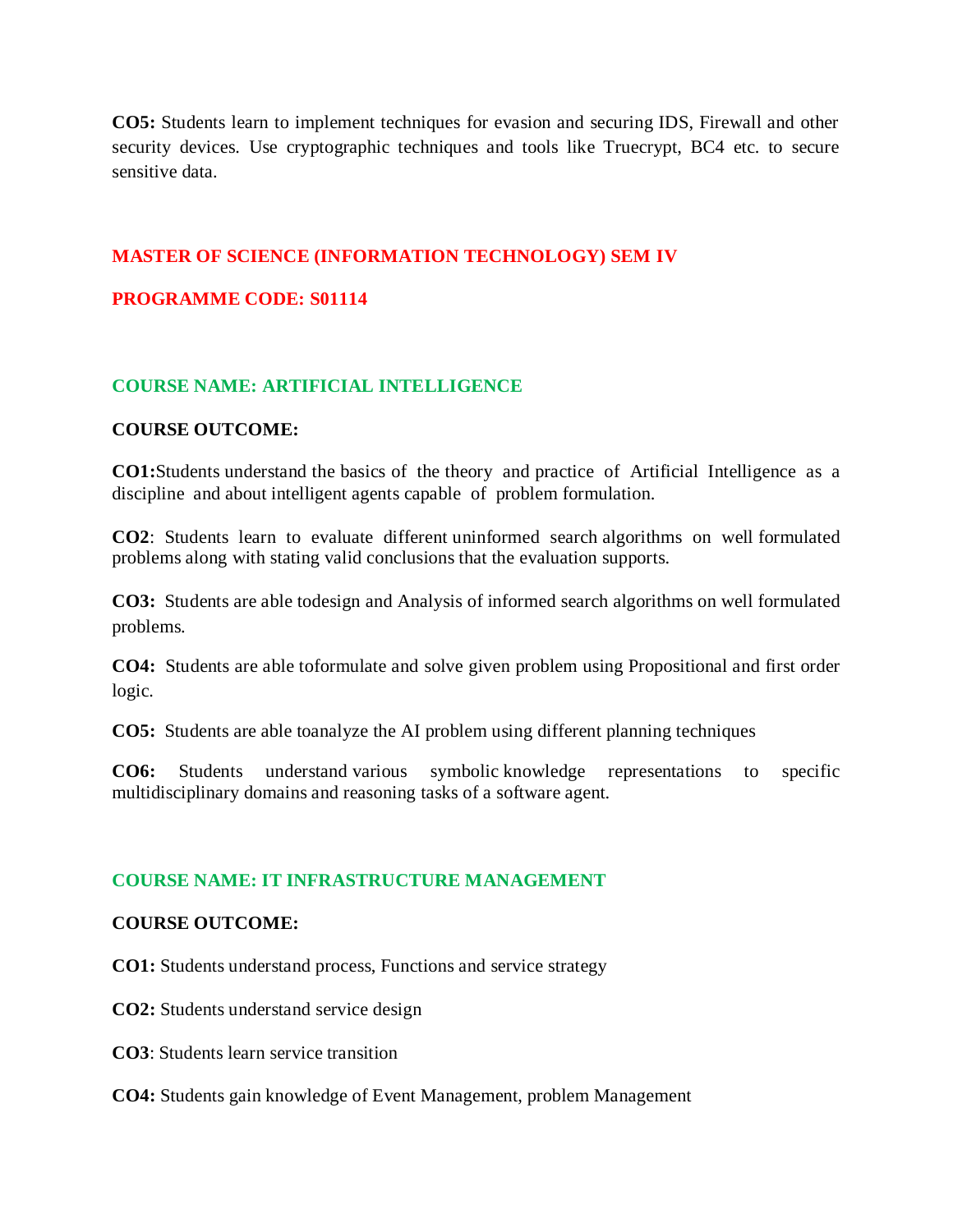**CO5:** Students learn to implement techniques for evasion and securing IDS, Firewall and other security devices. Use cryptographic techniques and tools like Truecrypt, BC4 etc. to secure sensitive data.

# **MASTER OF SCIENCE (INFORMATION TECHNOLOGY) SEM IV**

# **PROGRAMME CODE: S01114**

# **COURSE NAME: ARTIFICIAL INTELLIGENCE**

## **COURSE OUTCOME:**

**CO1:**Students understand the basics of the theory and practice of Artificial Intelligence as a discipline and about intelligent agents capable of problem formulation.

**CO2**: Students learn to evaluate different uninformed search algorithms on well formulated problems along with stating valid conclusions that the evaluation supports.

**CO3:** Students are able todesign and Analysis of informed search algorithms on well formulated problems.

**CO4:** Students are able toformulate and solve given problem using Propositional and first order logic.

**CO5:** Students are able toanalyze the AI problem using different planning techniques

**CO6:** Students understand various symbolic knowledge representations to specific multidisciplinary domains and reasoning tasks of a software agent.

## **COURSE NAME: IT INFRASTRUCTURE MANAGEMENT**

## **COURSE OUTCOME:**

**CO1:** Students understand process, Functions and service strategy

**CO2:** Students understand service design

**CO3**: Students learn service transition

**CO4:** Students gain knowledge of Event Management, problem Management